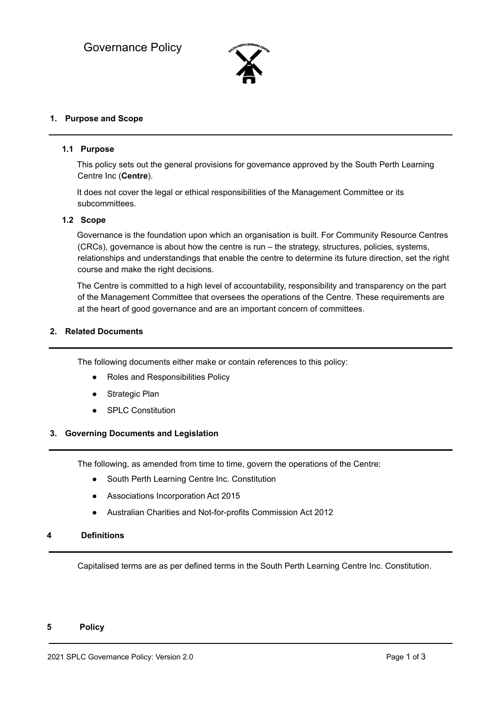

# **1. Purpose and Scope**

### **1.1 Purpose**

This policy sets out the general provisions for governance approved by the South Perth Learning Centre Inc (**Centre**).

It does not cover the legal or ethical responsibilities of the Management Committee or its subcommittees.

# **1.2 Scope**

Governance is the foundation upon which an organisation is built. For Community Resource Centres (CRCs), governance is about how the centre is run – the strategy, structures, policies, systems, relationships and understandings that enable the centre to determine its future direction, set the right course and make the right decisions.

The Centre is committed to a high level of accountability, responsibility and transparency on the part of the Management Committee that oversees the operations of the Centre. These requirements are at the heart of good governance and are an important concern of committees.

#### **2. Related Documents**

The following documents either make or contain references to this policy:

- Roles and Responsibilities Policy
- Strategic Plan
- SPLC Constitution

#### **3. Governing Documents and Legislation**

The following, as amended from time to time, govern the operations of the Centre:

- South Perth Learning Centre Inc. Constitution
- Associations Incorporation Act 2015
- Australian Charities and Not-for-profits Commission Act 2012

# **4 Definitions**

Capitalised terms are as per defined terms in the South Perth Learning Centre Inc. Constitution.

#### **5 Policy**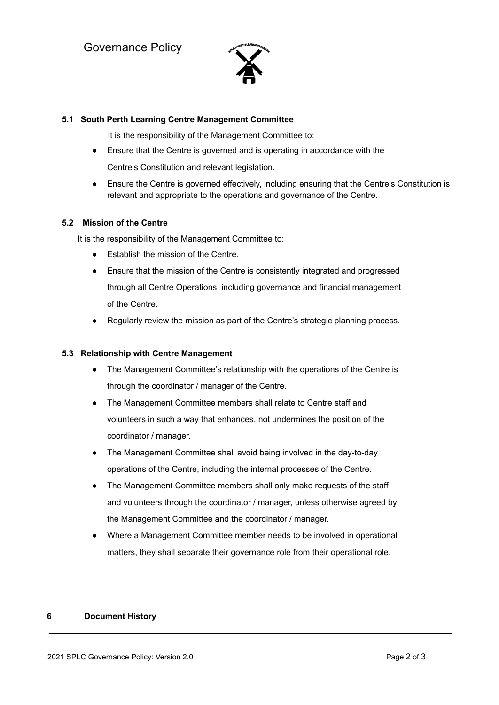

# **5.1 South Perth Learning Centre Management Committee**

It is the responsibility of the Management Committee to:

- **●** Ensure that the Centre is governed and is operating in accordance with the Centre's Constitution and relevant legislation.
- Ensure the Centre is governed effectively, including ensuring that the Centre's Constitution is relevant and appropriate to the operations and governance of the Centre.

# **5.2 Mission of the Centre**

It is the responsibility of the Management Committee to:

- Establish the mission of the Centre.
- Ensure that the mission of the Centre is consistently integrated and progressed through all Centre Operations, including governance and financial management of the Centre.
- Regularly review the mission as part of the Centre's strategic planning process.

# **5.3 Relationship with Centre Management**

- The Management Committee's relationship with the operations of the Centre is through the coordinator / manager of the Centre.
- The Management Committee members shall relate to Centre staff and volunteers in such a way that enhances, not undermines the position of the coordinator / manager.
- The Management Committee shall avoid being involved in the day-to-day operations of the Centre, including the internal processes of the Centre.
- The Management Committee members shall only make requests of the staff and volunteers through the coordinator / manager, unless otherwise agreed by the Management Committee and the coordinator / manager.
- Where a Management Committee member needs to be involved in operational matters, they shall separate their governance role from their operational role.

# **6 Document History**